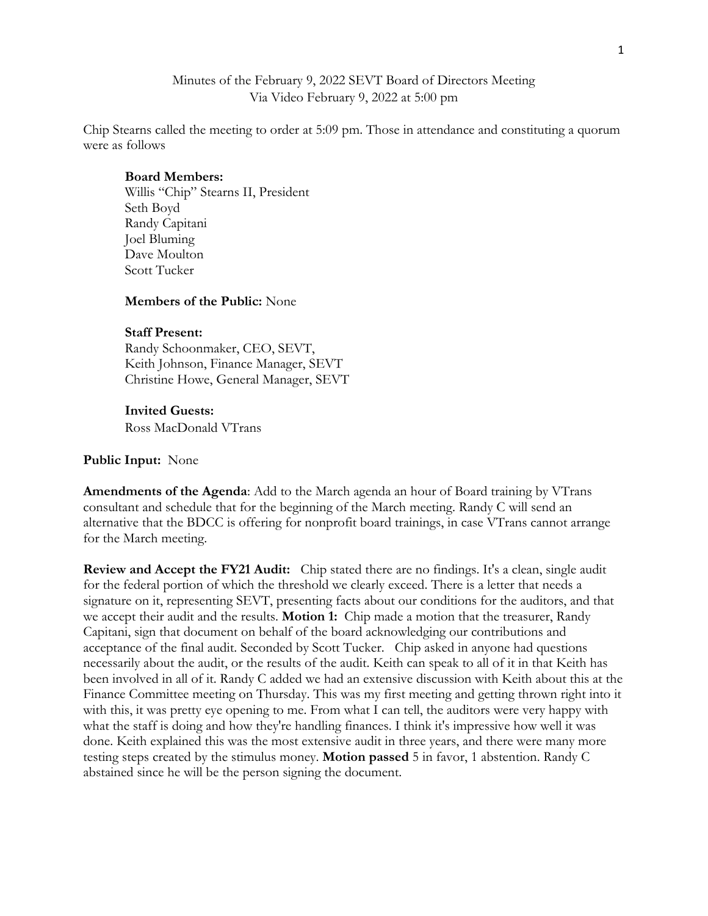## Minutes of the February 9, 2022 SEVT Board of Directors Meeting Via Video February 9, 2022 at 5:00 pm

Chip Stearns called the meeting to order at 5:09 pm. Those in attendance and constituting a quorum were as follows

## **Board Members:**

Willis "Chip" Stearns II, President Seth Boyd Randy Capitani Joel Bluming Dave Moulton Scott Tucker

## **Members of the Public:** None

# **Staff Present:**

Randy Schoonmaker, CEO, SEVT, Keith Johnson, Finance Manager, SEVT Christine Howe, General Manager, SEVT

## **Invited Guests:**

Ross MacDonald VTrans

#### **Public Input:** None

**Amendments of the Agenda**: Add to the March agenda an hour of Board training by VTrans consultant and schedule that for the beginning of the March meeting. Randy C will send an alternative that the BDCC is offering for nonprofit board trainings, in case VTrans cannot arrange for the March meeting.

**Review and Accept the FY21 Audit:** Chip stated there are no findings. It's a clean, single audit for the federal portion of which the threshold we clearly exceed. There is a letter that needs a signature on it, representing SEVT, presenting facts about our conditions for the auditors, and that we accept their audit and the results. **Motion 1:** Chip made a motion that the treasurer, Randy Capitani, sign that document on behalf of the board acknowledging our contributions and acceptance of the final audit. Seconded by Scott Tucker. Chip asked in anyone had questions necessarily about the audit, or the results of the audit. Keith can speak to all of it in that Keith has been involved in all of it. Randy C added we had an extensive discussion with Keith about this at the Finance Committee meeting on Thursday. This was my first meeting and getting thrown right into it with this, it was pretty eye opening to me. From what I can tell, the auditors were very happy with what the staff is doing and how they're handling finances. I think it's impressive how well it was done. Keith explained this was the most extensive audit in three years, and there were many more testing steps created by the stimulus money. **Motion passed** 5 in favor, 1 abstention. Randy C abstained since he will be the person signing the document.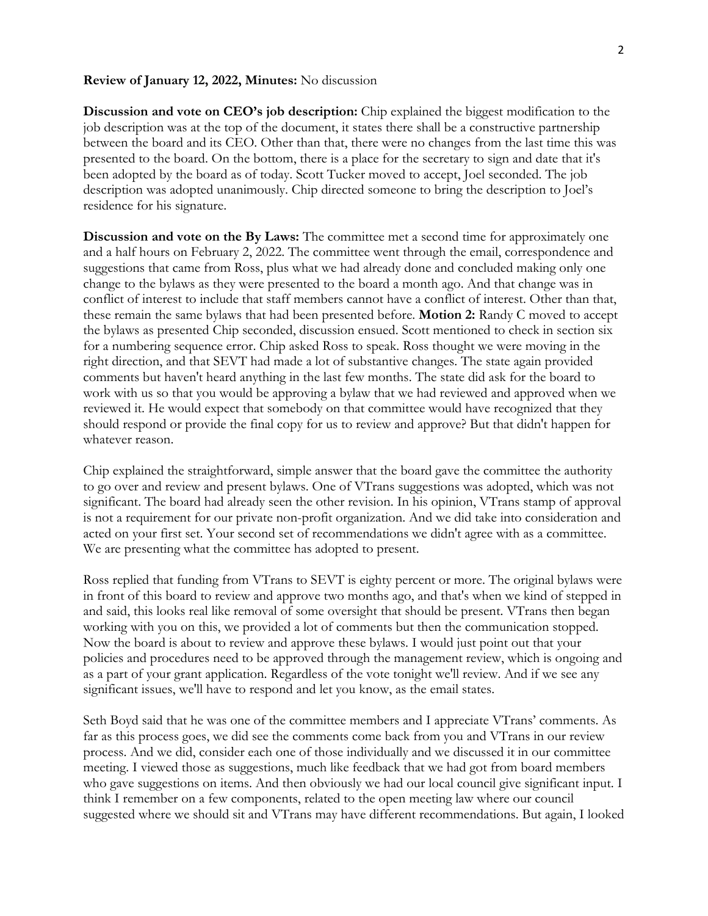#### **Review of January 12, 2022, Minutes:** No discussion

**Discussion and vote on CEO's job description:** Chip explained the biggest modification to the job description was at the top of the document, it states there shall be a constructive partnership between the board and its CEO. Other than that, there were no changes from the last time this was presented to the board. On the bottom, there is a place for the secretary to sign and date that it's been adopted by the board as of today. Scott Tucker moved to accept, Joel seconded. The job description was adopted unanimously. Chip directed someone to bring the description to Joel's residence for his signature.

**Discussion and vote on the By Laws:** The committee met a second time for approximately one and a half hours on February 2, 2022. The committee went through the email, correspondence and suggestions that came from Ross, plus what we had already done and concluded making only one change to the bylaws as they were presented to the board a month ago. And that change was in conflict of interest to include that staff members cannot have a conflict of interest. Other than that, these remain the same bylaws that had been presented before. **Motion 2:** Randy C moved to accept the bylaws as presented Chip seconded, discussion ensued. Scott mentioned to check in section six for a numbering sequence error. Chip asked Ross to speak. Ross thought we were moving in the right direction, and that SEVT had made a lot of substantive changes. The state again provided comments but haven't heard anything in the last few months. The state did ask for the board to work with us so that you would be approving a bylaw that we had reviewed and approved when we reviewed it. He would expect that somebody on that committee would have recognized that they should respond or provide the final copy for us to review and approve? But that didn't happen for whatever reason.

Chip explained the straightforward, simple answer that the board gave the committee the authority to go over and review and present bylaws. One of VTrans suggestions was adopted, which was not significant. The board had already seen the other revision. In his opinion, VTrans stamp of approval is not a requirement for our private non-profit organization. And we did take into consideration and acted on your first set. Your second set of recommendations we didn't agree with as a committee. We are presenting what the committee has adopted to present.

Ross replied that funding from VTrans to SEVT is eighty percent or more. The original bylaws were in front of this board to review and approve two months ago, and that's when we kind of stepped in and said, this looks real like removal of some oversight that should be present. VTrans then began working with you on this, we provided a lot of comments but then the communication stopped. Now the board is about to review and approve these bylaws. I would just point out that your policies and procedures need to be approved through the management review, which is ongoing and as a part of your grant application. Regardless of the vote tonight we'll review. And if we see any significant issues, we'll have to respond and let you know, as the email states.

Seth Boyd said that he was one of the committee members and I appreciate VTrans' comments. As far as this process goes, we did see the comments come back from you and VTrans in our review process. And we did, consider each one of those individually and we discussed it in our committee meeting. I viewed those as suggestions, much like feedback that we had got from board members who gave suggestions on items. And then obviously we had our local council give significant input. I think I remember on a few components, related to the open meeting law where our council suggested where we should sit and VTrans may have different recommendations. But again, I looked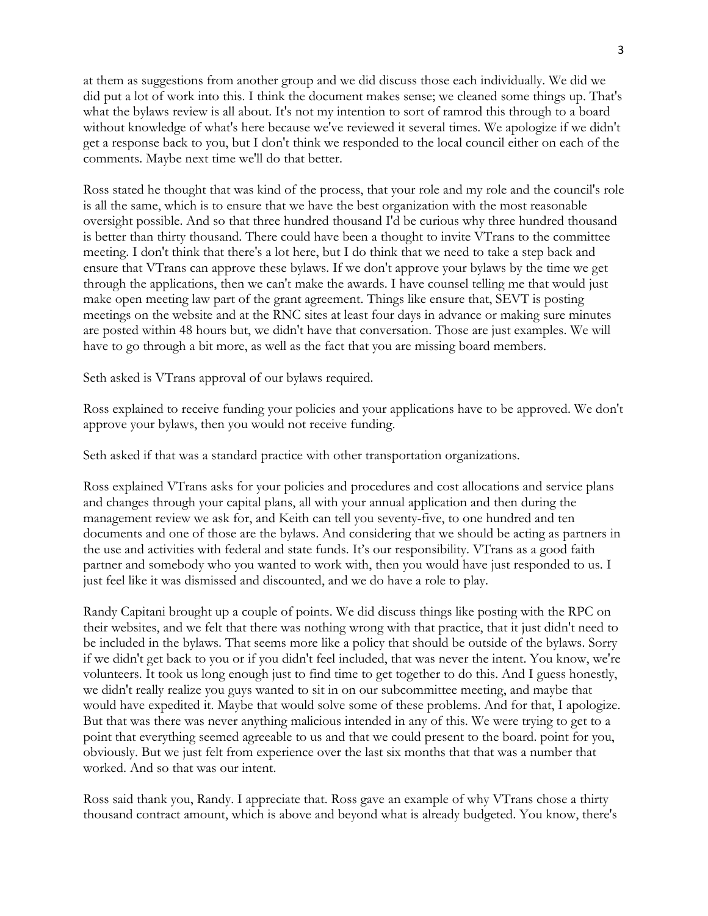at them as suggestions from another group and we did discuss those each individually. We did we did put a lot of work into this. I think the document makes sense; we cleaned some things up. That's what the bylaws review is all about. It's not my intention to sort of ramrod this through to a board without knowledge of what's here because we've reviewed it several times. We apologize if we didn't get a response back to you, but I don't think we responded to the local council either on each of the comments. Maybe next time we'll do that better.

Ross stated he thought that was kind of the process, that your role and my role and the council's role is all the same, which is to ensure that we have the best organization with the most reasonable oversight possible. And so that three hundred thousand I'd be curious why three hundred thousand is better than thirty thousand. There could have been a thought to invite VTrans to the committee meeting. I don't think that there's a lot here, but I do think that we need to take a step back and ensure that VTrans can approve these bylaws. If we don't approve your bylaws by the time we get through the applications, then we can't make the awards. I have counsel telling me that would just make open meeting law part of the grant agreement. Things like ensure that, SEVT is posting meetings on the website and at the RNC sites at least four days in advance or making sure minutes are posted within 48 hours but, we didn't have that conversation. Those are just examples. We will have to go through a bit more, as well as the fact that you are missing board members.

Seth asked is VTrans approval of our bylaws required.

Ross explained to receive funding your policies and your applications have to be approved. We don't approve your bylaws, then you would not receive funding.

Seth asked if that was a standard practice with other transportation organizations.

Ross explained VTrans asks for your policies and procedures and cost allocations and service plans and changes through your capital plans, all with your annual application and then during the management review we ask for, and Keith can tell you seventy-five, to one hundred and ten documents and one of those are the bylaws. And considering that we should be acting as partners in the use and activities with federal and state funds. It's our responsibility. VTrans as a good faith partner and somebody who you wanted to work with, then you would have just responded to us. I just feel like it was dismissed and discounted, and we do have a role to play.

Randy Capitani brought up a couple of points. We did discuss things like posting with the RPC on their websites, and we felt that there was nothing wrong with that practice, that it just didn't need to be included in the bylaws. That seems more like a policy that should be outside of the bylaws. Sorry if we didn't get back to you or if you didn't feel included, that was never the intent. You know, we're volunteers. It took us long enough just to find time to get together to do this. And I guess honestly, we didn't really realize you guys wanted to sit in on our subcommittee meeting, and maybe that would have expedited it. Maybe that would solve some of these problems. And for that, I apologize. But that was there was never anything malicious intended in any of this. We were trying to get to a point that everything seemed agreeable to us and that we could present to the board. point for you, obviously. But we just felt from experience over the last six months that that was a number that worked. And so that was our intent.

Ross said thank you, Randy. I appreciate that. Ross gave an example of why VTrans chose a thirty thousand contract amount, which is above and beyond what is already budgeted. You know, there's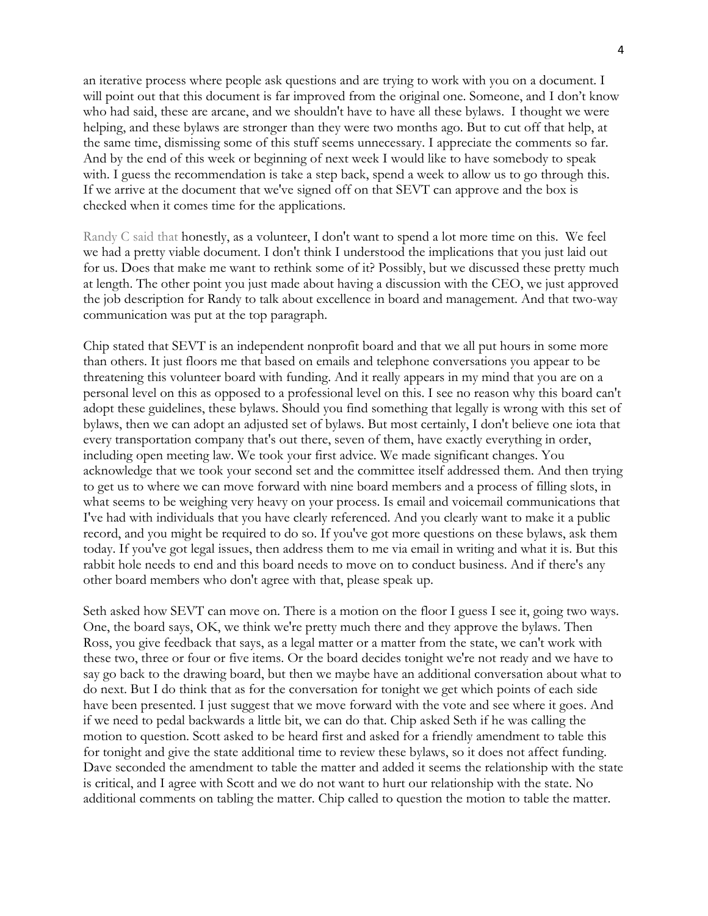an iterative process where people ask questions and are trying to work with you on a document. I will point out that this document is far improved from the original one. Someone, and I don't know who had said, these are arcane, and we shouldn't have to have all these bylaws. I thought we were helping, and these bylaws are stronger than they were two months ago. But to cut off that help, at the same time, dismissing some of this stuff seems unnecessary. I appreciate the comments so far. And by the end of this week or beginning of next week I would like to have somebody to speak with. I guess the recommendation is take a step back, spend a week to allow us to go through this. If we arrive at the document that we've signed off on that SEVT can approve and the box is checked when it comes time for the applications.

Randy C said that honestly, as a volunteer, I don't want to spend a lot more time on this. We feel we had a pretty viable document. I don't think I understood the implications that you just laid out for us. Does that make me want to rethink some of it? Possibly, but we discussed these pretty much at length. The other point you just made about having a discussion with the CEO, we just approved the job description for Randy to talk about excellence in board and management. And that two-way communication was put at the top paragraph.

Chip stated that SEVT is an independent nonprofit board and that we all put hours in some more than others. It just floors me that based on emails and telephone conversations you appear to be threatening this volunteer board with funding. And it really appears in my mind that you are on a personal level on this as opposed to a professional level on this. I see no reason why this board can't adopt these guidelines, these bylaws. Should you find something that legally is wrong with this set of bylaws, then we can adopt an adjusted set of bylaws. But most certainly, I don't believe one iota that every transportation company that's out there, seven of them, have exactly everything in order, including open meeting law. We took your first advice. We made significant changes. You acknowledge that we took your second set and the committee itself addressed them. And then trying to get us to where we can move forward with nine board members and a process of filling slots, in what seems to be weighing very heavy on your process. Is email and voicemail communications that I've had with individuals that you have clearly referenced. And you clearly want to make it a public record, and you might be required to do so. If you've got more questions on these bylaws, ask them today. If you've got legal issues, then address them to me via email in writing and what it is. But this rabbit hole needs to end and this board needs to move on to conduct business. And if there's any other board members who don't agree with that, please speak up.

Seth asked how SEVT can move on. There is a motion on the floor I guess I see it, going two ways. One, the board says, OK, we think we're pretty much there and they approve the bylaws. Then Ross, you give feedback that says, as a legal matter or a matter from the state, we can't work with these two, three or four or five items. Or the board decides tonight we're not ready and we have to say go back to the drawing board, but then we maybe have an additional conversation about what to do next. But I do think that as for the conversation for tonight we get which points of each side have been presented. I just suggest that we move forward with the vote and see where it goes. And if we need to pedal backwards a little bit, we can do that. Chip asked Seth if he was calling the motion to question. Scott asked to be heard first and asked for a friendly amendment to table this for tonight and give the state additional time to review these bylaws, so it does not affect funding. Dave seconded the amendment to table the matter and added it seems the relationship with the state is critical, and I agree with Scott and we do not want to hurt our relationship with the state. No additional comments on tabling the matter. Chip called to question the motion to table the matter.